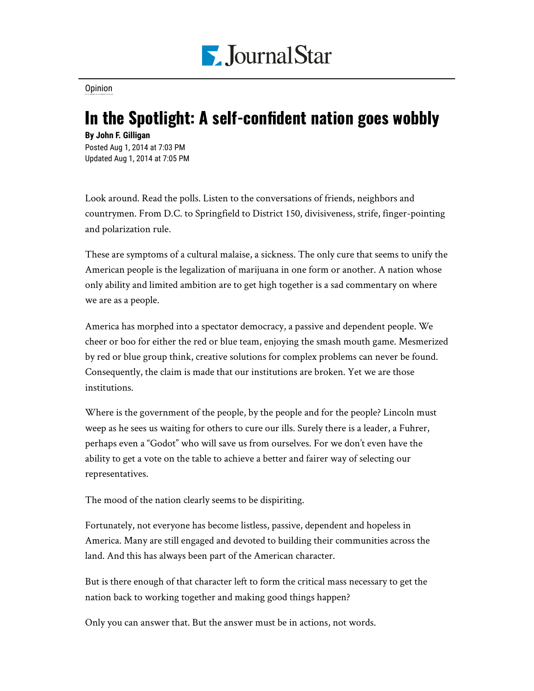

[Opinion](https://www.pjstar.com/search?text=Opinion)

## In the Spotlight: A self-confident nation goes wobbly

**By John F. Gilligan** Posted Aug 1, 2014 at 7:03 PM Updated Aug 1, 2014 at 7:05 PM

Look around. Read the polls. Listen to the conversations of friends, neighbors and countrymen. From D.C. to Springfield to District 150, divisiveness, strife, finger-pointing and polarization rule.

These are symptoms of a cultural malaise, a sickness. The only cure that seems to unify the American people is the legalization of marijuana in one form or another. A nation whose only ability and limited ambition are to get high together is a sad commentary on where we are as a people.

America has morphed into a spectator democracy, a passive and dependent people. We cheer or boo for either the red or blue team, enjoying the smash mouth game. Mesmerized by red or blue group think, creative solutions for complex problems can never be found. Consequently, the claim is made that our institutions are broken. Yet we are those institutions.

Where is the government of the people, by the people and for the people? Lincoln must weep as he sees us waiting for others to cure our ills. Surely there is a leader, a Fuhrer, perhaps even a "Godot" who will save us from ourselves. For we don't even have the ability to get a vote on the table to achieve a better and fairer way of selecting our representatives.

The mood of the nation clearly seems to be dispiriting.

Fortunately, not everyone has become listless, passive, dependent and hopeless in America. Many are still engaged and devoted to building their communities across the land. And this has always been part of the American character.

But is there enough of that character left to form the critical mass necessary to get the nation back to working together and making good things happen?

Only you can answer that. But the answer must be in actions, not words.